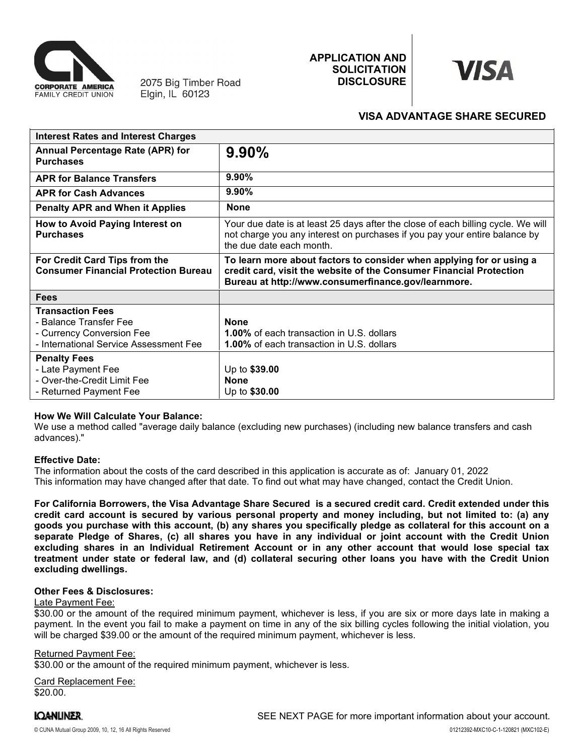

# APPLICATION AND<br>
SOLICITATION<br>
DISCLOSURE<br>
VISA ADVANTAGE SHARE SECURED SOLICITATION **WISA DISCLOSURE**



# VISA ADVANTAGE SHARE SECURED

|                                                                              | <b>APPLICATION AND</b>                                                                                                                                                                                                                                                                                                                                                                                                                                                                                                                                                                                                                                                                         |                                     |
|------------------------------------------------------------------------------|------------------------------------------------------------------------------------------------------------------------------------------------------------------------------------------------------------------------------------------------------------------------------------------------------------------------------------------------------------------------------------------------------------------------------------------------------------------------------------------------------------------------------------------------------------------------------------------------------------------------------------------------------------------------------------------------|-------------------------------------|
| 2075 Big Timber Road<br>Elgin, IL 60123<br><b>FAMILY CREDIT UNION</b>        | <b>SOLICITATION</b><br><b>DISCLOSURE</b>                                                                                                                                                                                                                                                                                                                                                                                                                                                                                                                                                                                                                                                       | VISA                                |
|                                                                              |                                                                                                                                                                                                                                                                                                                                                                                                                                                                                                                                                                                                                                                                                                | <b>VISA ADVANTAGE SHARE SECURED</b> |
| <b>Interest Rates and Interest Charges</b>                                   |                                                                                                                                                                                                                                                                                                                                                                                                                                                                                                                                                                                                                                                                                                |                                     |
| <b>Annual Percentage Rate (APR) for</b><br><b>Purchases</b>                  | 9.90%                                                                                                                                                                                                                                                                                                                                                                                                                                                                                                                                                                                                                                                                                          |                                     |
| <b>APR for Balance Transfers</b>                                             | 9.90%                                                                                                                                                                                                                                                                                                                                                                                                                                                                                                                                                                                                                                                                                          |                                     |
| <b>APR for Cash Advances</b>                                                 | 9.90%                                                                                                                                                                                                                                                                                                                                                                                                                                                                                                                                                                                                                                                                                          |                                     |
| <b>Penalty APR and When it Applies</b>                                       | <b>None</b>                                                                                                                                                                                                                                                                                                                                                                                                                                                                                                                                                                                                                                                                                    |                                     |
| How to Avoid Paying Interest on<br><b>Purchases</b>                          | Your due date is at least 25 days after the close of each billing cycle. We will<br>not charge you any interest on purchases if you pay your entire balance by<br>the due date each month.                                                                                                                                                                                                                                                                                                                                                                                                                                                                                                     |                                     |
| For Credit Card Tips from the<br><b>Consumer Financial Protection Bureau</b> | To learn more about factors to consider when applying for or using a<br>credit card, visit the website of the Consumer Financial Protection<br>Bureau at http://www.consumerfinance.gov/learnmore.                                                                                                                                                                                                                                                                                                                                                                                                                                                                                             |                                     |
| <b>Fees</b>                                                                  |                                                                                                                                                                                                                                                                                                                                                                                                                                                                                                                                                                                                                                                                                                |                                     |
| <b>Transaction Fees</b>                                                      |                                                                                                                                                                                                                                                                                                                                                                                                                                                                                                                                                                                                                                                                                                |                                     |
| - Balance Transfer Fee<br>- Currency Conversion Fee                          | <b>None</b><br>1.00% of each transaction in U.S. dollars                                                                                                                                                                                                                                                                                                                                                                                                                                                                                                                                                                                                                                       |                                     |
| - International Service Assessment Fee                                       | 1.00% of each transaction in U.S. dollars                                                                                                                                                                                                                                                                                                                                                                                                                                                                                                                                                                                                                                                      |                                     |
| <b>Penalty Fees</b>                                                          |                                                                                                                                                                                                                                                                                                                                                                                                                                                                                                                                                                                                                                                                                                |                                     |
| - Late Payment Fee<br>- Over-the-Credit Limit Fee                            | Up to \$39.00<br><b>None</b>                                                                                                                                                                                                                                                                                                                                                                                                                                                                                                                                                                                                                                                                   |                                     |
| - Returned Payment Fee                                                       | Up to \$30.00                                                                                                                                                                                                                                                                                                                                                                                                                                                                                                                                                                                                                                                                                  |                                     |
| <b>How We Will Calculate Your Balance:</b><br>advances)."                    | We use a method called "average daily balance (excluding new purchases) (including new balance transfers and cash                                                                                                                                                                                                                                                                                                                                                                                                                                                                                                                                                                              |                                     |
| <b>Effective Date:</b>                                                       | The information about the costs of the card described in this application is accurate as of: January 01, 2022<br>This information may have changed after that date. To find out what may have changed, contact the Credit Union.                                                                                                                                                                                                                                                                                                                                                                                                                                                               |                                     |
| excluding dwellings.                                                         | For California Borrowers, the Visa Advantage Share Secured is a secured credit card. Credit extended under this<br>credit card account is secured by various personal property and money including, but not limited to: (a) any<br>goods you purchase with this account, (b) any shares you specifically pledge as collateral for this account on a<br>separate Pledge of Shares, (c) all shares you have in any individual or joint account with the Credit Union<br>excluding shares in an Individual Retirement Account or in any other account that would lose special tax<br>treatment under state or federal law, and (d) collateral securing other loans you have with the Credit Union |                                     |
| <b>Other Fees &amp; Disclosures:</b><br>Late Payment Fee:                    | \$30.00 or the amount of the required minimum payment, whichever is less, if you are six or more days late in making a                                                                                                                                                                                                                                                                                                                                                                                                                                                                                                                                                                         |                                     |

## How We Will Calculate Your Balance:

## Effective Date:

This information may have changed after that date. To find out what may have changed, contact the Credit Union.<br>For Califormia Borrowers, the Visa Advantage Shares Secured is a secured orith cared. Credit extended under th excluding dwellings. - Late Payment Fee<br>
- Over-the-Credit Limit Fee<br>
- Returned Payment Fee<br>
- Returned Payment Fee<br>
We use a method called "average daily balance (excluding new purchases) (including new balance transfers and cash<br>
advances). - Over-the-Credit Limit Fee<br>- Returned Payment Fee<br>How We Will Calculate Your Balance:<br>How We Will Calculate Your Balance:<br>
We use a method called "average daily balance (excluding new purchases) (including new balance tra - Returned Payment Fee <br>
Lip to \$30.00<br>
How We Will Calculate Your Balance:<br>
We use a method called "average daily balance (excluding new purchases) (including new balance transfers a<br>
advances)."<br>
Effective Date:<br>
Effecti

## Other Fees & Disclosures:

## Late Payment Fee:

## Returned Payment Fee:

\$30.00 or the amount of the required minimum payment, whichever is less.

Card Replacement Fee: \$20.00.